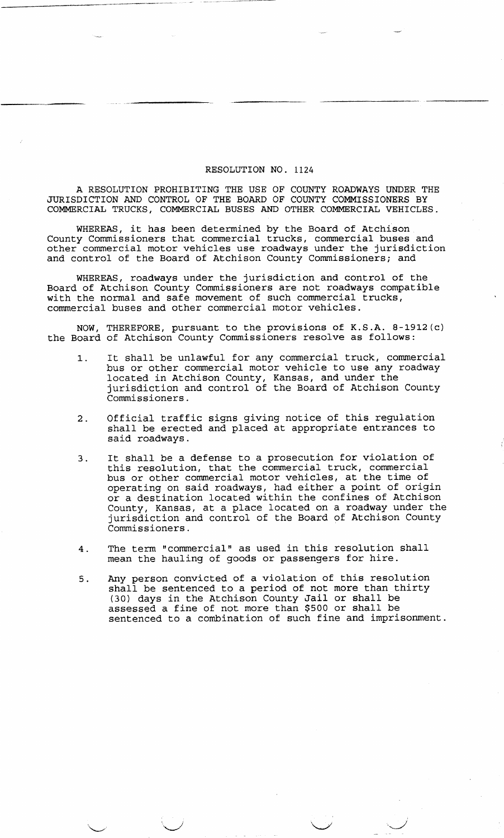## RESOLUTION NO. 1124

A RESOLUTION PROHIBITING THE USE OF COUNTY ROADWAYS UNDER THE JURISDICTION AND CONTROL OF THE BOARD OF COUNTY COMMISSIONERS BY COMMERCIAL TRUCKS, COMMERCIAL BUSES AND OTHER COMMERCIAL VEHICLES.

WHEREAS, it has been determined by the Board of Atchison . County Commissioners that commercial trucks, commercial buses and other commercial motor vehicles use roadways under the jurisdiction and control of the Board of Atchison County Commissioners; and

WHEREAS, roadways under the jurisdiction and control of the Board of Atchison County Commissioners are not roadways compatible with the normal and safe movement of such commercial trucks, commercial buses and other commercial motor vehicles.

NOW, THEREFORE, pursuant to the provisions of K.S.A. 8-1912(c) the Board of Atchison County Commissioners resolve as follows:

- 1. It shall be unlawful for any commercial truck, commercial bus or other commercial motor vehicle to use any roadway located in Atchison County, Kansas, and under the jurisdiction and control of the Board of Atchison County Commissioners.
- 2. Official traffic signs giving notice of this regulation shall be erected and placed at appropriate entrances to said roadways.
- 3. It shall be a defense to a prosecution for violation of this resolution, that the commercial truck, commercial bus or other commercial motor vehicles, at the time of operating on said roadways, had either a point of origin or a destination located within the confines of Atchison County, Kansas, at a place located on a roadway under the jurisdiction and control of the Board of Atchison County Commissioners.
- 4. The term "commercial" as used in this resolution shall mean the hauling of goods or passengers for hire.
- 5. Any person convicted of a violation of this resolution shall be sentenced to a period of not more than thirty (30) days in the Atchison County Jail or shall be assessed a fine of not more than \$500 or shall be sentenced to a combination of such fine and imprisonment.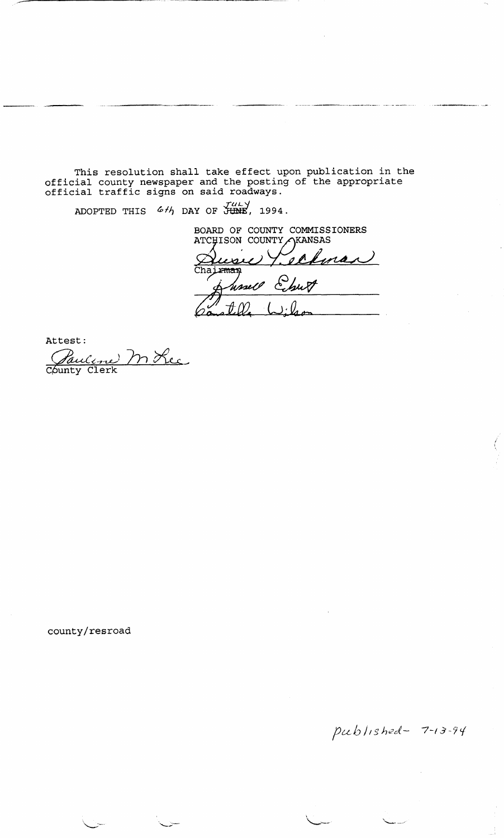This resolution shall take effect upon publication in the official county newspaper and the posting of the appropriate official traffic signs on said roadways.

ADOPTED THIS  $6 H$  DAY OF JUNE, 1994.

BOARD OF COUNTY COMMISSIONERS ATCHISON COUNTY AKANSAS  $\overline{\ell}$  $\ell$ man usic Ø., Chairman Ehu hssell

Attest:<br>Pauline M Rec County Clerk

county/resroad

published-